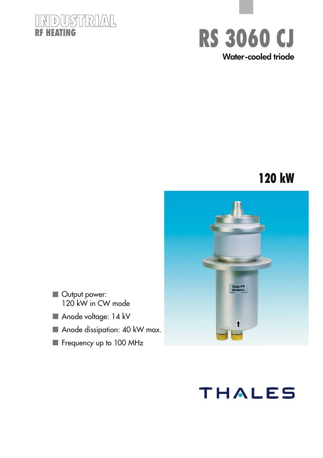### **INDUSTRIAL RF HEATING**



### **120 kW**



- Output power: 120 kW in CW mode
- Anode voltage: 14 kV
- Anode dissipation: 40 kW max.
- Frequency up to 100 MHz

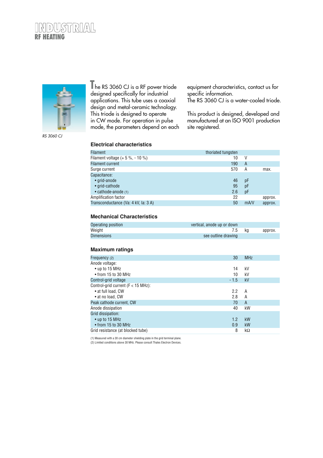



he RS 3060 CJ is a RF power triode designed specifically for industrial applications. This tube uses a coaxial design and metal-ceramic technology. This triode is designed to operate in CW mode. For operation in pulse mode, the parameters depend on each **T**

equipment characteristics, contact us for specific information.

The RS 3060 CJ is a water-cooled triode.

This product is designed, developed and manufactured at an ISO 9001 production site registered.

#### **Electrical characteristics**

| <b>Filament</b>                      | thoriated tungsten |      |         |
|--------------------------------------|--------------------|------|---------|
| Filament voltage $(+ 5 %, -10 %)$    | 10                 | V    |         |
| <b>Filament current</b>              | 190                | A    |         |
| Surge current                        | 570                | Α    | max.    |
| Capacitance:                         |                    |      |         |
| • grid-anode                         | 46                 | pF   |         |
| • grid-cathode                       | 95                 | pF   |         |
| • cathode-anode (1)                  | 2.6                | pF   |         |
| Amplification factor                 | 22                 |      | approx. |
| Transconductance (Va: 4 kV, Ia: 3 A) | 50                 | mA/V | approx. |

#### **Mechanical Characteristics**

| Operating position | vertical, anode up or down |    |         |
|--------------------|----------------------------|----|---------|
| Weiaht             | 7.5                        | ka | approx. |
| <b>Dimensions</b>  | see outline drawing        |    |         |

#### **Maximum ratings**

| Frequency (2)                         | 30     | <b>MHz</b>   |
|---------------------------------------|--------|--------------|
| Anode voltage:                        |        |              |
| • up to 15 MHz                        | 14     | kV           |
| $\bullet$ from 15 to 30 MHz           | 10     | kV           |
| Control-grid voltage                  | $-1.5$ | kV           |
| Control-grid current ( $F < 15$ MHz): |        |              |
| • at full load, CW                    | 2.2    | A            |
| • at no load, CW                      | 2.8    | A            |
| Peak cathode current, CW              | 70     | $\mathsf{A}$ |
| Anode dissipation                     | 40     | kW           |
| Grid dissipation:                     |        |              |
| • up to 15 MHz                        | 1.2    | kW           |
| $\bullet$ from 15 to 30 MHz           | 0.9    | kW           |
| Grid resistance (at blocked tube)     | 8      | kΩ           |

(1) Measured with a 30 cm diameter shielding plate in the grid terminal plane.

(1) Included which a 50 cm diameter sinclumg plate in the grid terminal plane.<br>(2) Limited conditions above 30 MHz. Please consult Thales Electron Devices.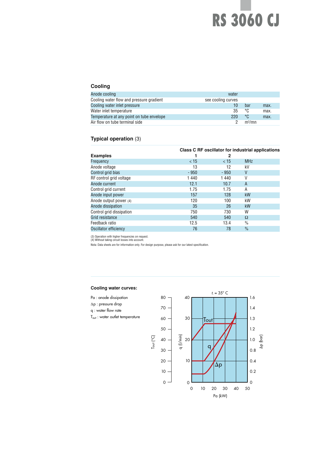## **RS 3060 CJ**

#### **Cooling**

| Anode cooling                             | water              |                    |      |
|-------------------------------------------|--------------------|--------------------|------|
| Cooling water flow and pressure gradient  | see cooling curves |                    |      |
| Cooling water inlet pressure              |                    | bar                | max. |
| Water inlet temperature                   | 35                 | °C                 | max. |
| Temperature at any point on tube envelope | 220                | °C                 | max. |
| Air flow on tube terminal side            |                    | m <sup>3</sup> /mn |      |

#### **Typical operation** (3)

|                          |        |        | Class C RF oscillator for industrial applications |
|--------------------------|--------|--------|---------------------------------------------------|
| <b>Examples</b>          |        | 2      |                                                   |
| Frequency                | $<$ 15 | < 15   | <b>MHz</b>                                        |
| Anode voltage            | 13     | 12     | kV                                                |
| Control grid bias        | $-950$ | $-950$ | V                                                 |
| RF control grid voltage  | 1440   | 1440   | V                                                 |
| Anode current            | 12.1   | 10.7   | A                                                 |
| Control grid current     | 1.75   | 1.75   | A                                                 |
| Anode input power        | 157    | 128    | kW                                                |
| Anode output power (4)   | 120    | 100    | kW                                                |
| Anode dissipation        | 35     | 26     | kW                                                |
| Control grid dissipation | 750    | 730    | W                                                 |
| Grid resistance          | 540    | 540    | Ω                                                 |
| Feedback ratio           | 12.5   | 13.4   | $\frac{0}{0}$                                     |
| Oscillator efficiency    | 76     | 78     | $\frac{0}{0}$                                     |

(3) Operation with higher frequencies on request. (4) Without taking circuit losses into account.

Nota: Data sheets are for information only. For design purpose, please ask for our latest specification.

#### **Cooling water curves:**

- Pa : anode dissipation ∆p : pressure drop
- q : water flow rate
- Tout : water outlet temperature